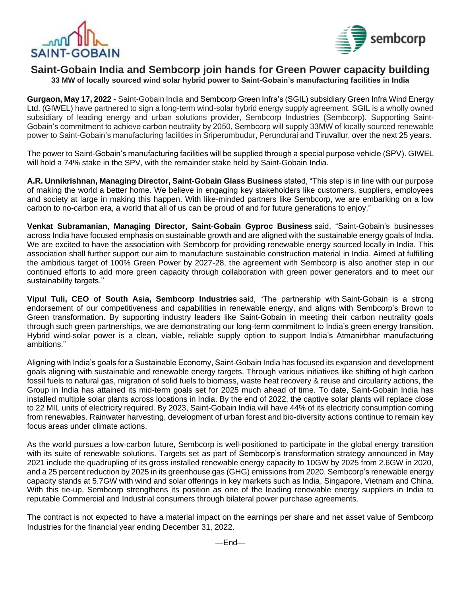



## **Saint-Gobain India and Sembcorp join hands for Green Power capacity building**

**33 MW of locally sourced wind solar hybrid power to Saint-Gobain's manufacturing facilities in India**

**Gurgaon, May 17, 2022** - Saint-Gobain India and Sembcorp Green Infra's (SGIL) subsidiary Green Infra Wind Energy Ltd. (GIWEL) have partnered to sign a long-term wind-solar hybrid energy supply agreement. SGIL is a wholly owned subsidiary of leading energy and urban solutions provider, Sembcorp Industries (Sembcorp). Supporting Saint-Gobain's commitment to achieve carbon neutrality by 2050, Sembcorp will supply 33MW of locally sourced renewable power to Saint-Gobain's manufacturing facilities in Sriperumbudur, Perundurai and Tiruvallur, over the next 25 years.

The power to Saint-Gobain's manufacturing facilities will be supplied through a special purpose vehicle (SPV). GIWEL will hold a 74% stake in the SPV, with the remainder stake held by Saint-Gobain India.

**A.R. Unnikrishnan, Managing Director, Saint-Gobain Glass Business** stated, "This step is in line with our purpose of making the world a better home. We believe in engaging key stakeholders like customers, suppliers, employees and society at large in making this happen. With like-minded partners like Sembcorp, we are embarking on a low carbon to no-carbon era, a world that all of us can be proud of and for future generations to enjoy."

**Venkat Subramanian, Managing Director, Saint-Gobain Gyproc Business** said, "Saint-Gobain's businesses across India have focused emphasis on sustainable growth and are aligned with the sustainable energy goals of India. We are excited to have the association with Sembcorp for providing renewable energy sourced locally in India. This association shall further support our aim to manufacture sustainable construction material in India. Aimed at fulfilling the ambitious target of 100% Green Power by 2027-28, the agreement with Sembcorp is also another step in our continued efforts to add more green capacity through collaboration with green power generators and to meet our sustainability targets.''

**Vipul Tuli, CEO of South Asia, Sembcorp Industries** said, "The partnership with Saint-Gobain is a strong endorsement of our competitiveness and capabilities in renewable energy, and aligns with Sembcorp's Brown to Green transformation. By supporting industry leaders like Saint-Gobain in meeting their carbon neutrality goals through such green partnerships, we are demonstrating our long-term commitment to India's green energy transition. Hybrid wind-solar power is a clean, viable, reliable supply option to support India's Atmanirbhar manufacturing ambitions."

Aligning with India's goals for a Sustainable Economy, Saint-Gobain India has focused its expansion and development goals aligning with sustainable and renewable energy targets. Through various initiatives like shifting of high carbon fossil fuels to natural gas, migration of solid fuels to biomass, waste heat recovery & reuse and circularity actions, the Group in India has attained its mid-term goals set for 2025 much ahead of time. To date, Saint-Gobain India has installed multiple solar plants across locations in India. By the end of 2022, the captive solar plants will replace close to 22 MIL units of electricity required. By 2023, Saint-Gobain India will have 44% of its electricity consumption coming from renewables. Rainwater harvesting, development of urban forest and bio-diversity actions continue to remain key focus areas under climate actions.

As the world pursues a low-carbon future, Sembcorp is well-positioned to participate in the global energy transition with its suite of renewable solutions. Targets set as part of Sembcorp's transformation strategy announced in May 2021 include the quadrupling of its gross installed renewable energy capacity to 10GW by 2025 from 2.6GW in 2020, and a 25 percent reduction by 2025 in its greenhouse gas (GHG) emissions from 2020. Sembcorp's renewable energy capacity stands at 5.7GW with wind and solar offerings in key markets such as India, Singapore, Vietnam and China. With this tie-up, Sembcorp strengthens its position as one of the leading renewable energy suppliers in India to reputable Commercial and Industrial consumers through bilateral power purchase agreements.

The contract is not expected to have a material impact on the earnings per share and net asset value of Sembcorp Industries for the financial year ending December 31, 2022.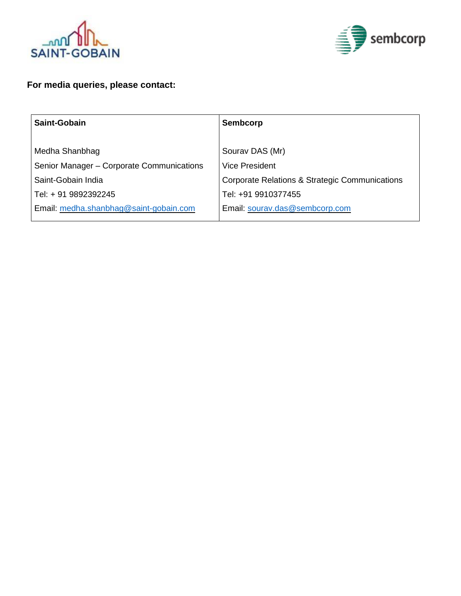



## **For media queries, please contact:**

| Saint-Gobain                              | Sembcorp                                       |
|-------------------------------------------|------------------------------------------------|
|                                           |                                                |
| Medha Shanbhag                            | Sourav DAS (Mr)                                |
| Senior Manager - Corporate Communications | <b>Vice President</b>                          |
| Saint-Gobain India                        | Corporate Relations & Strategic Communications |
| Tel: + 91 9892392245                      | Tel: +91 9910377455                            |
| Email: medha.shanbhag@saint-gobain.com    | Email: sourav.das@sembcorp.com                 |
|                                           |                                                |